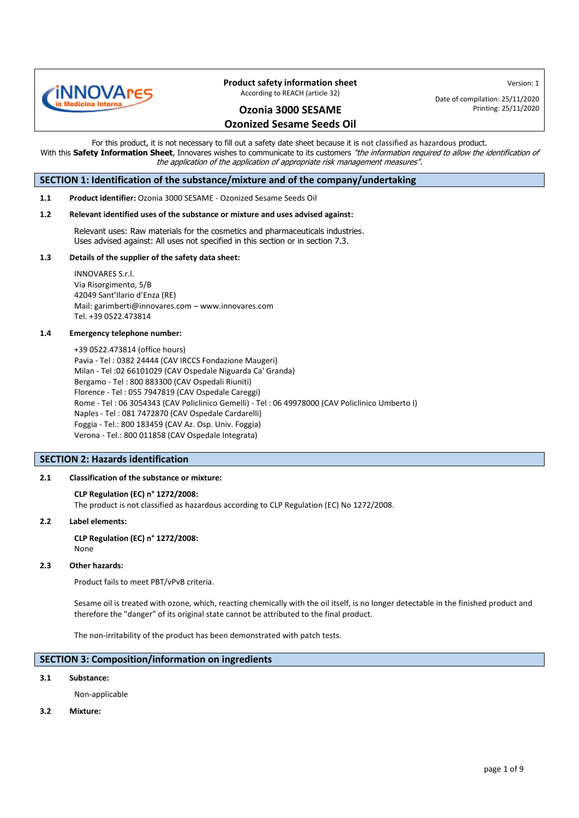

Version: 1 Date of compilation: 25/11/2020

### **Ozonia 3000 SESAME Ozonized Sesame Seeds Oil**

Printing: 25/11/2020

For this product, it is not necessary to fill out a safety date sheet because it is not classified as hazardous product. With this Safety Information Sheet, Innovares wishes to communicate to its customers "the information required to allow the identification of the application of the application of appropriate risk management measures".

### **SECTION 1: Identification of the substance/mixture and of the company/undertaking**

**1.1 Product identifier:** Ozonia 3000 SESAME - Ozonized Sesame Seeds Oil

#### **1.2 Relevant identified uses of the substance or mixture and uses advised against:**

Relevant uses: Raw materials for the cosmetics and pharmaceuticals industries. Uses advised against: All uses not specified in this section or in section 7.3.

#### **1.3 Details of the supplier of the safety data sheet:**

INNOVARES S.r.l. Via Risorgimento, 5/B 42049 Sant'Ilario d'Enza (RE) Mail: [garimberti@innovares.com](mailto:garimberti@innovares.com) – www.innovares.com Tel. +39 0522.473814

#### **1.4 Emergency telephone number:**

+39 0522.473814 (office hours) Pavia - Tel : 0382 24444 (CAV IRCCS Fondazione Maugeri) Milan - Tel :02 66101029 (CAV Ospedale Niguarda Ca' Granda) Bergamo - Tel : 800 883300 (CAV Ospedali Riuniti) Florence - Tel : 055 7947819 (CAV Ospedale Careggi) Rome - Tel : 06 3054343 (CAV Policlinico Gemelli) - Tel : 06 49978000 (CAV Policlinico Umberto I) Naples - Tel : 081 7472870 (CAV Ospedale Cardarelli) Foggia - Tel.: 800 183459 (CAV Az. Osp. Univ. Foggia) Verona - Tel.: 800 011858 (CAV Ospedale Integrata)

### **SECTION 2: Hazards identification**

### **2.1 Classification of the substance or mixture:**

### **CLP Regulation (EC) n° 1272/2008:**

The product is not classified as hazardous according to CLP Regulation (EC) No 1272/2008.

#### **2.2 Label elements:**  $2.2$

**CLP Regulation (EC) n° 1272/2008:** None

### **2.3 Other hazards:**

Product fails to meet PBT/vPvB criteria.

Sesame oil is treated with ozone, which, reacting chemically with the oil itself, is no longer detectable in the finished product and therefore the "danger" of its original state cannot be attributed to the final product.

The non-irritability of the product has been demonstrated with patch tests.

### **SECTION 3: Composition/information on ingredients**

### **3.1 Substance:**

Non-applicable

**3.2 Mixture:**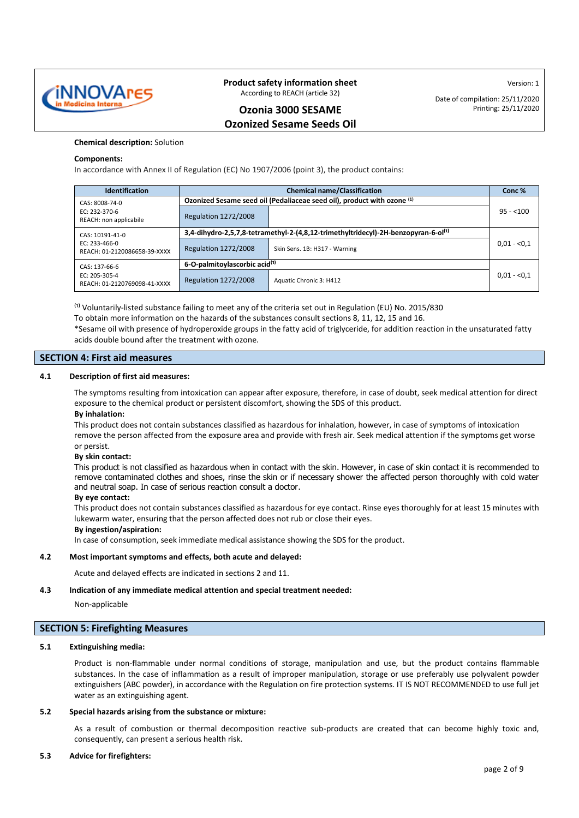

Version: 1 Date of compilation: 25/11/2020 Printing: 25/11/2020

### **Ozonia 3000 SESAME Ozonized Sesame Seeds Oil**

### **Chemical description:** Solution

### **Components:**

j

In accordance with Annex II of Regulation (EC) No 1907/2006 (point 3), the product contains:

| <b>Identification</b>                           | <b>Chemical name/Classification</b>                                                            |                               | Conc%        |
|-------------------------------------------------|------------------------------------------------------------------------------------------------|-------------------------------|--------------|
| CAS: 8008-74-0                                  | Ozonized Sesame seed oil (Pedaliaceae seed oil), product with ozone (1)                        |                               |              |
| EC: 232-370-6<br>REACH: non applicabile         | <b>Regulation 1272/2008</b>                                                                    |                               | $95 - 100$   |
| CAS: 10191-41-0                                 | 3,4-dihydro-2,5,7,8-tetramethyl-2-(4,8,12-trimethyltridecyl)-2H-benzopyran-6-ol <sup>(1)</sup> |                               |              |
| $FC: 233-466-0$<br>REACH: 01-2120086658-39-XXXX | <b>Regulation 1272/2008</b>                                                                    | Skin Sens. 1B: H317 - Warning | $0.01 - 0.1$ |
| CAS: 137-66-6                                   | 6-O-palmitoylascorbic acid <sup>(1)</sup>                                                      |                               |              |
| EC: 205-305-4<br>REACH: 01-2120769098-41-XXXX   | <b>Regulation 1272/2008</b>                                                                    | Aquatic Chronic 3: H412       | $0.01 - 0.1$ |

 $^{(1)}$  Voluntarily-listed substance failing to meet any of the criteria set out in Regulation (EU) No. 2015/830

To obtain more information on the hazards of the substances consult sections 8, 11, 12, 15 and 16.

\*Sesame oil with presence of hydroperoxide groups in the fatty acid of triglyceride, for addition reaction in the unsaturated fatty acids double bound after the treatment with ozone.

### **SECTION 4: First aid measures**

### **4.1 Description of first aid measures:**

The symptoms resulting from intoxication can appear after exposure, therefore, in case of doubt, seek medical attention for direct exposure to the chemical product or persistent discomfort, showing the SDS of this product.

### **By inhalation:**

This product does not contain substances classified as hazardous for inhalation, however, in case of symptoms of intoxication remove the person affected from the exposure area and provide with fresh air. Seek medical attention if the symptoms get worse or persist.

### **By skin contact:**

This product is not classified as hazardous when in contact with the skin. However, in case of skin contact it is recommended to remove contaminated clothes and shoes, rinse the skin or if necessary shower the affected person thoroughly with cold water and neutral soap. In case of serious reaction consult a doctor.

### **By eye contact:**

This product does not contain substances classified as hazardous for eye contact. Rinse eyes thoroughly for at least 15 minutes with lukewarm water, ensuring that the person affected does not rub or close their eyes.

### **By ingestion/aspiration:**

In case of consumption, seek immediate medical assistance showing the SDS for the product.

### **4.2 Most important symptoms and effects, both acute and delayed:**

Acute and delayed effects are indicated in sections 2 and 11.

### **4.3 Indication of any immediate medical attention and special treatment needed:**

### Non-applicable

### **SECTION 5: Firefighting Measures**

### **5.1 Extinguishing media:**

Product is non-flammable under normal conditions of storage, manipulation and use, but the product contains flammable substances. In the case of inflammation as a result of improper manipulation, storage or use preferably use polyvalent powder extinguishers (ABC powder), in accordance with the Regulation on fire protection systems. IT IS NOT RECOMMENDED to use full jet water as an extinguishing agent.

### **5.2 Special hazards arising from the substance or mixture:**

As a result of combustion or thermal decomposition reactive sub-products are created that can become highly toxic and, consequently, can present a serious health risk.

### **5.3 Advice for firefighters:**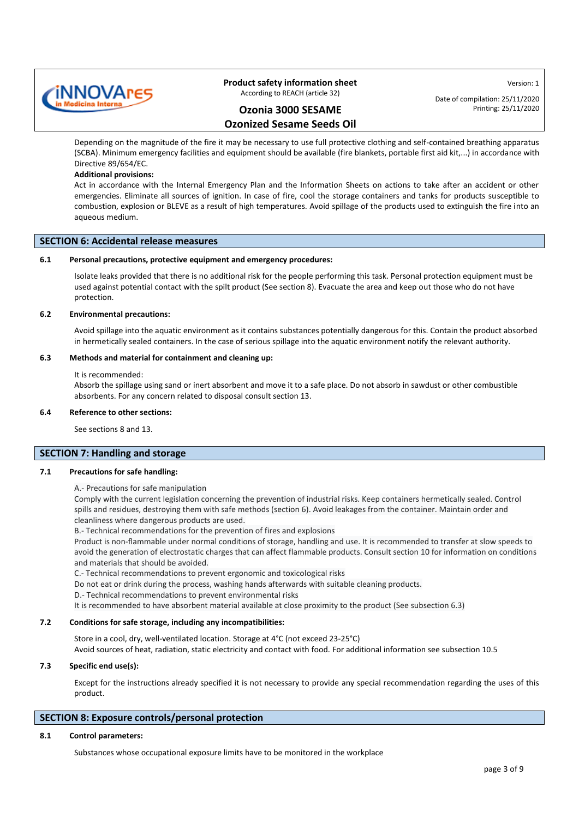

**Ozonia 3000 SESAME Ozonized Sesame Seeds Oil** Date of compilation: 25/11/2020 Printing: 25/11/2020

Version: 1

Depending on the magnitude of the fire it may be necessary to use full protective clothing and self-contained breathing apparatus (SCBA). Minimum emergency facilities and equipment should be available (fire blankets, portable first aid kit,...) in accordance with Directive 89/654/EC.

### **Additional provisions:**

Act in accordance with the Internal Emergency Plan and the Information Sheets on actions to take after an accident or other emergencies. Eliminate all sources of ignition. In case of fire, cool the storage containers and tanks for products susceptible to combustion, explosion or BLEVE as a result of high temperatures. Avoid spillage of the products used to extinguish the fire into an aqueous medium.

### **SECTION 6: Accidental release measures**

### **6.1 Personal precautions, protective equipment and emergency procedures:**

Isolate leaks provided that there is no additional risk for the people performing this task. Personal protection equipment must be used against potential contact with the spilt product (See section 8). Evacuate the area and keep out those who do not have protection.

### **6.2 Environmental precautions:**

Avoid spillage into the aquatic environment as it contains substances potentially dangerous for this. Contain the product absorbed in hermetically sealed containers. In the case of serious spillage into the aquatic environment notify the relevant authority.

### **6.3 Methods and material for containment and cleaning up:**

#### It is recommended:

Absorb the spillage using sand or inert absorbent and move it to a safe place. Do not absorb in sawdust or other combustible absorbents. For any concern related to disposal consult section 13.

### **6.4 Reference to other sections:**

See sections 8 and 13.

### **SECTION 7: Handling and storage**

### **7.1 Precautions for safe handling:**

A.- Precautions for safe manipulation

Comply with the current legislation concerning the prevention of industrial risks. Keep containers hermetically sealed. Control spills and residues, destroying them with safe methods (section 6). Avoid leakages from the container. Maintain order and cleanliness where dangerous products are used.

B.- Technical recommendations for the prevention of fires and explosions

Product is non-flammable under normal conditions of storage, handling and use. It is recommended to transfer at slow speeds to avoid the generation of electrostatic charges that can affect flammable products. Consult section 10 for information on conditions and materials that should be avoided.

C.- Technical recommendations to prevent ergonomic and toxicological risks

Do not eat or drink during the process, washing hands afterwards with suitable cleaning products.

D.- Technical recommendations to prevent environmental risks

It is recommended to have absorbent material available at close proximity to the product (See subsection 6.3)

### **7.2 Conditions for safe storage, including any incompatibilities:**

Store in a cool, dry, well-ventilated location. Storage at 4°C (not exceed 23-25°C) Avoid sources of heat, radiation, static electricity and contact with food. For additional information see subsection 10.5

### **7.3 Specific end use(s):**

Except for the instructions already specified it is not necessary to provide any special recommendation regarding the uses of this product.

### **SECTION 8: Exposure controls/personal protection**

### **8.1 Control parameters:**

Substances whose occupational exposure limits have to be monitored in the workplace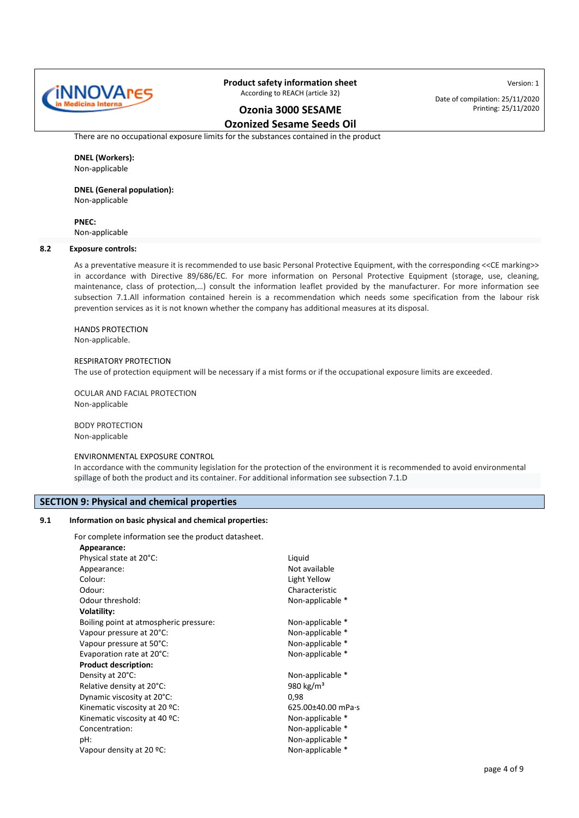

Date of compilation: 25/11/2020 Printing: 25/11/2020

Version: 1

### **Ozonia 3000 SESAME Ozonized Sesame Seeds Oil**

There are no occupational exposure limits for the substances contained in the product

### **DNEL (Workers):** Non-applicable

## **DNEL (General population):**

Non-applicable

### **PNEC:**

Non-applicable

### **8.2 Exposure controls:**

As a preventative measure it is recommended to use basic Personal Protective Equipment, with the corresponding <<CE marking>> in accordance with Directive 89/686/EC. For more information on Personal Protective Equipment (storage, use, cleaning, maintenance, class of protection,…) consult the information leaflet provided by the manufacturer. For more information see subsection 7.1.All information contained herein is a recommendation which needs some specification from the labour risk prevention services as it is not known whether the company has additional measures at its disposal.

### HANDS PROTECTION Non-applicable.

### RESPIRATORY PROTECTION

The use of protection equipment will be necessary if a mist forms or if the occupational exposure limits are exceeded.

OCULAR AND FACIAL PROTECTION Non-applicable

BODY PROTECTION Non-applicable

### ENVIRONMENTAL EXPOSURE CONTROL

In accordance with the community legislation for the protection of the environment it is recommended to avoid environmental spillage of both the product and its container. For additional information see subsection 7.1.D

### **SECTION 9: Physical and chemical properties**

### **9.1 Information on basic physical and chemical properties:**

For complete information see the product datasheet.

| Appearance:                            |                       |
|----------------------------------------|-----------------------|
| Physical state at 20°C:                | Liquid                |
| Appearance:                            | Not available         |
| Colour:                                | Light Yellow          |
| Odour:                                 | Characteristic        |
| Odour threshold:                       | Non-applicable *      |
| Volatility:                            |                       |
| Boiling point at atmospheric pressure: | Non-applicable *      |
| Vapour pressure at 20°C:               | Non-applicable *      |
| Vapour pressure at 50°C:               | Non-applicable *      |
| Evaporation rate at 20°C:              | Non-applicable *      |
| <b>Product description:</b>            |                       |
| Density at 20°C:                       | Non-applicable *      |
| Relative density at 20°C:              | 980 kg/m <sup>3</sup> |
| Dynamic viscosity at 20°C:             | 0,98                  |
| Kinematic viscosity at 20 °C:          | 625.00±40.00 mPa·s    |
| Kinematic viscosity at 40 °C:          | Non-applicable *      |
| Concentration:                         | Non-applicable *      |
| pH:                                    | Non-applicable *      |
| Vapour density at 20 ºC:               | Non-applicable *      |
|                                        |                       |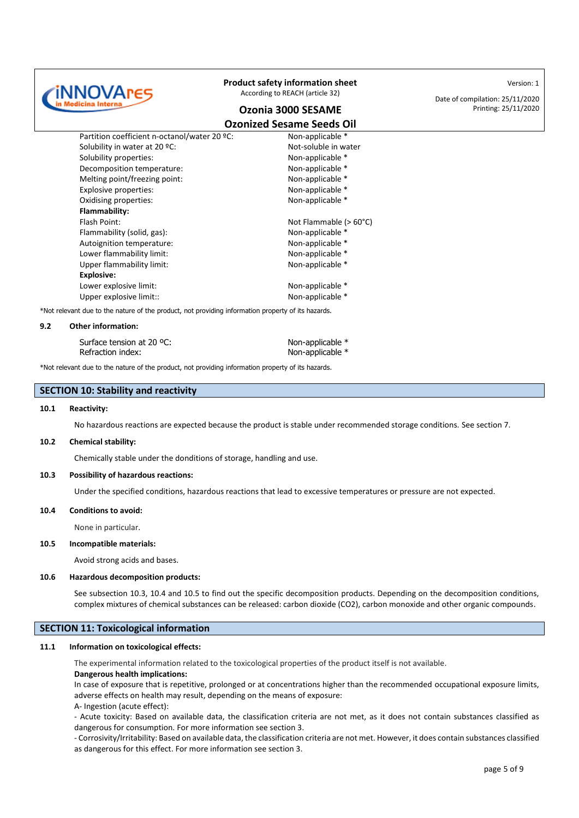

### **Ozonia 3000 SESAME**

**Ozonized Sesame Seeds Oil**

Partition coefficient n-octanol/water 20 °C: Non-applicable \* Solubility in water at 20 °C: Not-soluble in water Solubility properties: Non-applicable \* Decomposition temperature: Non-applicable \* Melting point/freezing point: Non-applicable \* Explosive properties:  $\blacksquare$ Oxidising properties: Non-applicable \* **Flammability:** Flash Point: Not Flammable (> 60°C) Flammability (solid, gas): Non-applicable \* Autoignition temperature: Non-applicable \* Lower flammability limit: Non-applicable \* Upper flammability limit: Vertical Mon-applicable \* **Explosive:** Lower explosive limit:  $\blacksquare$ Upper explosive limit:: Non-applicable \*

\*Not relevant due to the nature of the product, not providing information property of its hazards.

#### **9.2 Other information:**

| Surface tension at 20 °C: | Non-applicable * |
|---------------------------|------------------|
| Refraction index:         | Non-applicable * |

\*Not relevant due to the nature of the product, not providing information property of its hazards.

### **SECTION 10: Stability and reactivity**

### **10.1 Reactivity:**

No hazardous reactions are expected because the product is stable under recommended storage conditions. See section 7.

### **10.2 Chemical stability:**

Chemically stable under the donditions of storage, handling and use.

### **10.3 Possibility of hazardous reactions:**

Under the specified conditions, hazardous reactions that lead to excessive temperatures or pressure are not expected.

### **10.4 Conditions to avoid:**

None in particular.

### **10.5 Incompatible materials:**

Avoid strong acids and bases.

#### **10.6 Hazardous decomposition products:**

See subsection 10.3, 10.4 and 10.5 to find out the specific decomposition products. Depending on the decomposition conditions, complex mixtures of chemical substances can be released: carbon dioxide (CO2), carbon monoxide and other organic compounds.

### **SECTION 11: Toxicological information**

### **11.1 Information on toxicological effects:**

The experimental information related to the toxicological properties of the product itself is not available.

### **Dangerous health implications:**

In case of exposure that is repetitive, prolonged or at concentrations higher than the recommended occupational exposure limits, adverse effects on health may result, depending on the means of exposure:

A- Ingestion (acute effect):

- Acute toxicity: Based on available data, the classification criteria are not met, as it does not contain substances classified as dangerous for consumption. For more information see section 3.

- Corrosivity/Irritability: Based on available data, the classification criteria are not met. However, it does contain substances classified as dangerous for this effect. For more information see section 3.

Version: 1

Date of compilation: 25/11/2020 Printing: 25/11/2020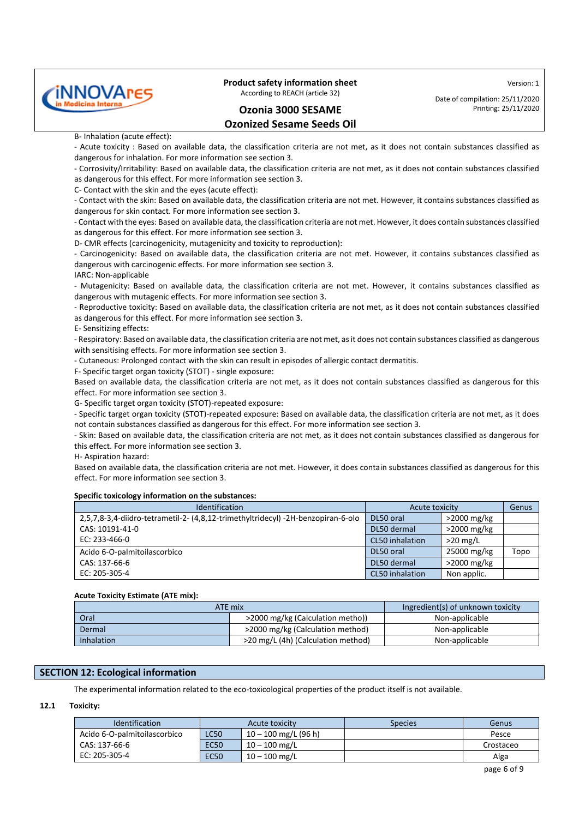

**Ozonia 3000 SESAME Ozonized Sesame Seeds Oil** Version: 1

Date of compilation: 25/11/2020 Printing: 25/11/2020

### B- Inhalation (acute effect):

- Acute toxicity : Based on available data, the classification criteria are not met, as it does not contain substances classified as dangerous for inhalation. For more information see section 3.

- Corrosivity/Irritability: Based on available data, the classification criteria are not met, as it does not contain substances classified as dangerous for this effect. For more information see section 3.

C- Contact with the skin and the eyes (acute effect):

- Contact with the skin: Based on available data, the classification criteria are not met. However, it contains substances classified as dangerous for skin contact. For more information see section 3.

- Contact with the eyes: Based on available data, the classification criteria are not met. However, it does contain substances classified as dangerous for this effect. For more information see section 3.

D- CMR effects (carcinogenicity, mutagenicity and toxicity to reproduction):

- Carcinogenicity: Based on available data, the classification criteria are not met. However, it contains substances classified as dangerous with carcinogenic effects. For more information see section 3.

IARC: Non-applicable

- Mutagenicity: Based on available data, the classification criteria are not met. However, it contains substances classified as dangerous with mutagenic effects. For more information see section 3.

- Reproductive toxicity: Based on available data, the classification criteria are not met, as it does not contain substances classified as dangerous for this effect. For more information see section 3.

E- Sensitizing effects:

- Respiratory: Based on available data, the classification criteria are not met, as it does not contain substances classified as dangerous with sensitising effects. For more information see section 3.

- Cutaneous: Prolonged contact with the skin can result in episodes of allergic contact dermatitis.

F- Specific target organ toxicity (STOT) - single exposure:

Based on available data, the classification criteria are not met, as it does not contain substances classified as dangerous for this effect. For more information see section 3.

G- Specific target organ toxicity (STOT)-repeated exposure:

- Specific target organ toxicity (STOT)-repeated exposure: Based on available data, the classification criteria are not met, as it does not contain substances classified as dangerous for this effect. For more information see section 3.

- Skin: Based on available data, the classification criteria are not met, as it does not contain substances classified as dangerous for this effect. For more information see section 3.

H- Aspiration hazard:

Based on available data, the classification criteria are not met. However, it does contain substances classified as dangerous for this effect. For more information see section 3.

### **Specific toxicology information on the substances:**

| <b>Identification</b>                                                            | Acute toxicity  |                | Genus |
|----------------------------------------------------------------------------------|-----------------|----------------|-------|
| 2,5,7,8-3,4-diidro-tetrametil-2- (4,8,12-trimethyltridecyl) -2H-benzopiran-6-olo | DL50 oral       | >2000 mg/kg    |       |
| CAS: 10191-41-0                                                                  | DL50 dermal     | >2000 mg/kg    |       |
| EC: 233-466-0                                                                    | CL50 inhalation | $>20$ mg/L     |       |
| Acido 6-O-palmitoilascorbico                                                     | DL50 oral       | 25000 mg/kg    | Topo  |
| CAS: 137-66-6                                                                    | DL50 dermal     | $>$ 2000 mg/kg |       |
| EC: 205-305-4                                                                    | CL50 inhalation | Non applic.    |       |

### **Acute Toxicity Estimate (ATE mix):**

| ATE mix                                    |                                    | Ingredient(s) of unknown toxicity |  |
|--------------------------------------------|------------------------------------|-----------------------------------|--|
| Oral                                       | >2000 mg/kg (Calculation metho))   | Non-applicable                    |  |
| >2000 mg/kg (Calculation method)<br>Dermal |                                    | Non-applicable                    |  |
| <b>Inhalation</b>                          | >20 mg/L (4h) (Calculation method) | Non-applicable                    |  |

### **SECTION 12: Ecological information**

The experimental information related to the eco-toxicological properties of the product itself is not available.

### **12.1 Toxicity:**

| <b>Identification</b>        | Acute toxicity |                        | <b>Species</b> | Genus     |
|------------------------------|----------------|------------------------|----------------|-----------|
| Acido 6-O-palmitoilascorbico | <b>LC50</b>    | $10 - 100$ mg/L (96 h) |                | Pesce     |
| CAS: 137-66-6                | <b>EC50</b>    | $10 - 100$ mg/L        |                | Crostaceo |
| EC: 205-305-4                | <b>EC50</b>    | $10 - 100$ mg/L        |                | Alga      |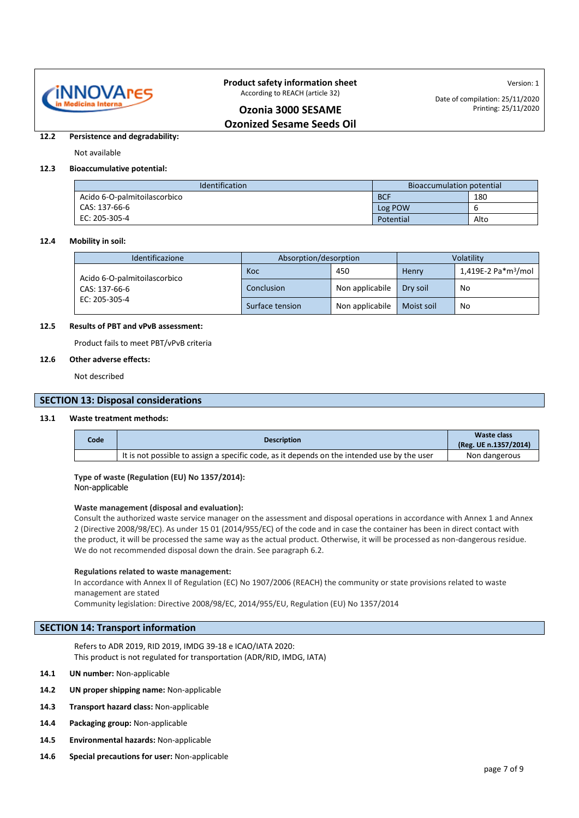

Version: 1 Date of compilation: 25/11/2020 Printing: 25/11/2020

### **Ozonia 3000 SESAME Ozonized Sesame Seeds Oil**

#### **12.2 Persistence and degradability:**

### Not available

### **12.3 Bioaccumulative potential:**

| <b>Identification</b><br>Bioaccumulation potential |            |      |
|----------------------------------------------------|------------|------|
| Acido 6-O-palmitoilascorbico                       | <b>BCF</b> | 180  |
| CAS: 137-66-6                                      | Log POW    |      |
| EC: 205-305-4                                      | Potential  | Alto |

#### **12.4 Mobility in soil:**

| Identificazione              | Absorption/desorption |                 | Volatility |                                 |
|------------------------------|-----------------------|-----------------|------------|---------------------------------|
| Acido 6-O-palmitoilascorbico | Koc                   | 450             | Henry      | 1,419E-2 Pa*m <sup>3</sup> /mol |
| CAS: 137-66-6                | Conclusion            | Non applicabile | Dry soil   | No                              |
| EC: 205-305-4                | Surface tension       | Non applicabile | Moist soil | No                              |

### **12.5 Results of PBT and vPvB assessment:**

Product fails to meet PBT/vPvB criteria

### **12.6 Other adverse effects:**

Not described

### **SECTION 13: Disposal considerations**

### **13.1 Waste treatment methods:**

| Code | <b>Description</b>                                                                          | Waste class<br>(Reg. UE n.1357/2014) |
|------|---------------------------------------------------------------------------------------------|--------------------------------------|
|      | It is not possible to assign a specific code, as it depends on the intended use by the user | Non dangerous                        |

### **Type of waste (Regulation (EU) No 1357/2014):**

Non-applicable

### **Waste management (disposal and evaluation):**

Consult the authorized waste service manager on the assessment and disposal operations in accordance with Annex 1 and Annex 2 (Directive 2008/98/EC). As under 15 01 (2014/955/EC) of the code and in case the container has been in direct contact with the product, it will be processed the same way as the actual product. Otherwise, it will be processed as non-dangerous residue. We do not recommended disposal down the drain. See paragraph 6.2.

#### **Regulations related to waste management:**

In accordance with Annex II of Regulation (EC) No 1907/2006 (REACH) the community or state provisions related to waste management are stated

Community legislation: Directive 2008/98/EC, 2014/955/EU, Regulation (EU) No 1357/2014

### **SECTION 14: Transport information**

Refers to ADR 2019, RID 2019, IMDG 39-18 e ICAO/IATA 2020: This product is not regulated for transportation (ADR/RID, IMDG, IATA)

- **14.1 UN number:** Non-applicable
- **14.2 UN proper shipping name:** Non-applicable
- **14.3 Transport hazard class:** Non-applicable
- **14.4 Packaging group:** Non-applicable
- **14.5 Environmental hazards:** Non-applicable
- **14.6 Special precautions for user:** Non-applicable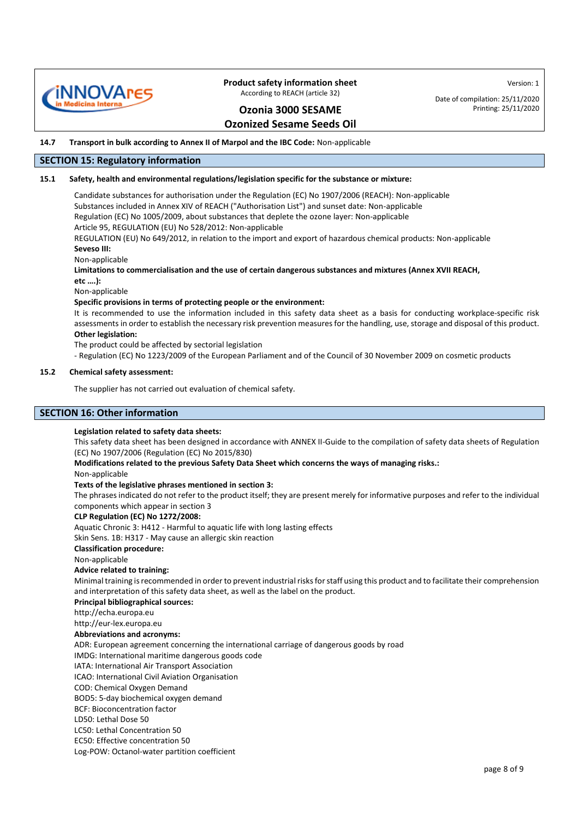

Date of compilation: 25/11/2020 Printing: 25/11/2020

Version: 1

# **Ozonia 3000 SESAME**

### **Ozonized Sesame Seeds Oil**

**14.7 Transport in bulk according to Annex II of Marpol and the IBC Code:** Non-applicable

### **SECTION 15: Regulatory information**

### **15.1 Safety, health and environmental regulations/legislation specific for the substance or mixture:**

Candidate substances for authorisation under the Regulation (EC) No 1907/2006 (REACH): Non-applicable Substances included in Annex XIV of REACH ("Authorisation List") and sunset date: Non-applicable Regulation (EC) No 1005/2009, about substances that deplete the ozone layer: Non-applicable Article 95, REGULATION (EU) No 528/2012: Non-applicable

REGULATION (EU) No 649/2012, in relation to the import and export of hazardous chemical products: Non-applicable **Seveso III:**

Non-applicable

**Limitations to commercialisation and the use of certain dangerous substances and mixtures (Annex XVII REACH,**

**etc ….):**

Non-applicable

### **Specific provisions in terms of protecting people or the environment:**

It is recommended to use the information included in this safety data sheet as a basis for conducting workplace-specific risk assessments in order to establish the necessary risk prevention measures for the handling, use, storage and disposal of this product. **Other legislation:**

The product could be affected by sectorial legislation

- Regulation (EC) No 1223/2009 of the European Parliament and of the Council of 30 November 2009 on cosmetic products

#### **15.2 Chemical safety assessment:**

The supplier has not carried out evaluation of chemical safety.

### **SECTION 16: Other information**

#### **Legislation related to safety data sheets:**

This safety data sheet has been designed in accordance with ANNEX II-Guide to the compilation of safety data sheets of Regulation (EC) No 1907/2006 (Regulation (EC) No 2015/830)

**Modifications related to the previous Safety Data Sheet which concerns the ways of managing risks.:**

Non-applicable

#### **Texts of the legislative phrases mentioned in section 3:**

The phrases indicated do not refer to the product itself; they are present merely for informative purposes and refer to the individual components which appear in section 3

#### **CLP Regulation (EC) No 1272/2008:**

Aquatic Chronic 3: H412 - Harmful to aquatic life with long lasting effects

Skin Sens. 1B: H317 - May cause an allergic skin reaction

**Classification procedure:**

### Non-applicable

### **Advice related to training:**

Minimal training is recommended in order to prevent industrial risks for staff using this product and to facilitate their comprehension and interpretation of this safety data sheet, as well as the label on the product.

### **Principal bibliographical sources:**

http://echa.europa.eu

[http://eur-lex.europa.eu](http://eur-lex.europa.eu/)

#### **Abbreviations and acronyms:**

ADR: European agreement concerning the international carriage of dangerous goods by road

IMDG: International maritime dangerous goods code

IATA: International Air Transport Association

ICAO: International Civil Aviation Organisation

COD: Chemical Oxygen Demand

BOD5: 5-day biochemical oxygen demand

BCF: Bioconcentration factor

LD50: Lethal Dose 50

LC50: Lethal Concentration 50

EC50: Effective concentration 50

Log-POW: Octanol-water partition coefficient